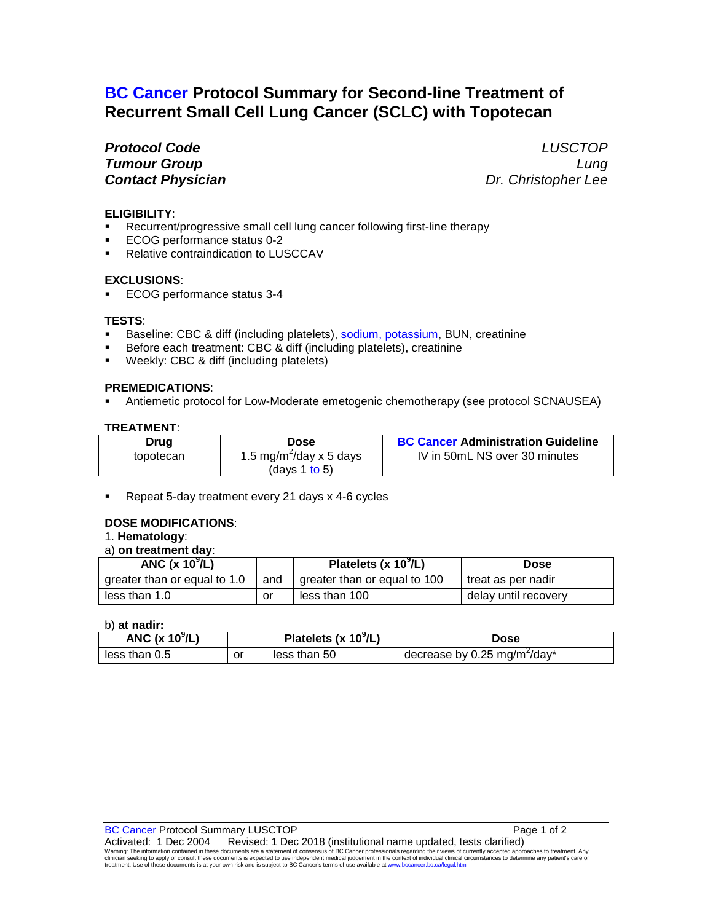# **BC Cancer Protocol Summary for Second-line Treatment of Recurrent Small Cell Lung Cancer (SCLC) with Topotecan**

*Protocol Code LUSCTOP Tumour Group Lung Contact Physician Dr. Christopher Lee*

# **ELIGIBILITY**:

- Recurrent/progressive small cell lung cancer following first-line therapy
- ECOG performance status 0-2
- **Relative contraindication to LUSCCAV**

## **EXCLUSIONS**:

ECOG performance status 3-4

## **TESTS**:

- Baseline: CBC & diff (including platelets), sodium, potassium, BUN, creatinine
- Before each treatment: CBC & diff (including platelets), creatinine
- Weekly: CBC & diff (including platelets)

## **PREMEDICATIONS**:

Antiemetic protocol for Low-Moderate emetogenic chemotherapy (see protocol SCNAUSEA)

## **TREATMENT**:

| Drug      | Dose                                | <b>BC Cancer Administration Guideline</b> |
|-----------|-------------------------------------|-------------------------------------------|
| topotecan | 1.5 mg/m <sup>2</sup> /day x 5 days | IV in 50mL NS over 30 minutes             |
|           | (davs 1 to 5)                       |                                           |

Repeat 5-day treatment every 21 days x 4-6 cycles

#### **DOSE MODIFICATIONS**:

## 1. **Hematology**:

# a) **on treatment day**:

| ANC $(x 10^9/L)$             |     | Platelets (x 10 <sup>9</sup> /L) | <b>Dose</b>          |
|------------------------------|-----|----------------------------------|----------------------|
| greater than or equal to 1.0 | and | greater than or equal to 100     | treat as per nadir   |
| less than 1.0                | or  | less than 100                    | delay until recovery |

b) **at nadir:**

| ANC $(x 109/L)$ |    | Platelets (x $10^9$ /L) | <b>Dose</b>                              |
|-----------------|----|-------------------------|------------------------------------------|
| less than $0.5$ | or | less than 50            | decrease by 0.25 mg/m <sup>2</sup> /day* |